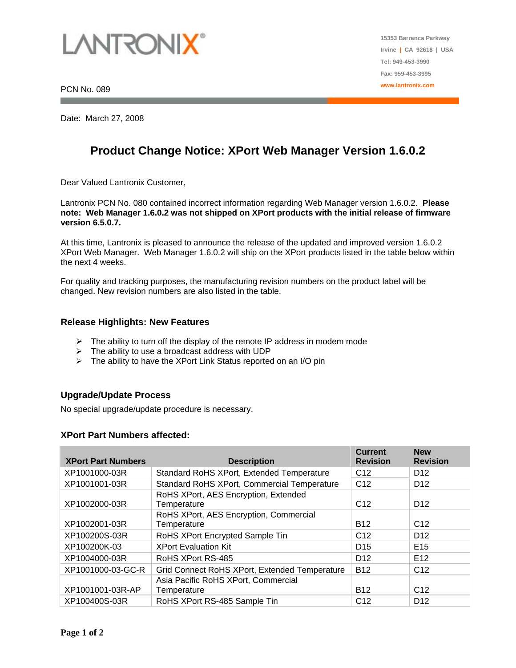

Date: March 27, 2008

# **Product Change Notice: XPort Web Manager Version 1.6.0.2**

Dear Valued Lantronix Customer,

Lantronix PCN No. 080 contained incorrect information regarding Web Manager version 1.6.0.2. **Please note: Web Manager 1.6.0.2 was not shipped on XPort products with the initial release of firmware version 6.5.0.7.** 

At this time, Lantronix is pleased to announce the release of the updated and improved version 1.6.0.2 XPort Web Manager. Web Manager 1.6.0.2 will ship on the XPort products listed in the table below within the next 4 weeks.

For quality and tracking purposes, the manufacturing revision numbers on the product label will be changed. New revision numbers are also listed in the table.

#### **Release Highlights: New Features**

- $\triangleright$  The ability to turn off the display of the remote IP address in modem mode
- $\triangleright$  The ability to use a broadcast address with UDP
- $\triangleright$  The ability to have the XPort Link Status reported on an I/O pin

### **Upgrade/Update Process**

No special upgrade/update procedure is necessary.

#### **XPort Part Numbers affected:**

| <b>XPort Part Numbers</b> | <b>Description</b>                                    | <b>Current</b><br><b>Revision</b> | <b>New</b><br><b>Revision</b> |
|---------------------------|-------------------------------------------------------|-----------------------------------|-------------------------------|
| XP1001000-03R             | Standard RoHS XPort, Extended Temperature             | C <sub>12</sub>                   | D <sub>12</sub>               |
| XP1001001-03R             | Standard RoHS XPort, Commercial Temperature           | C <sub>12</sub>                   | D <sub>12</sub>               |
| XP1002000-03R             | RoHS XPort, AES Encryption, Extended<br>Temperature   | C <sub>12</sub>                   | D <sub>12</sub>               |
| XP1002001-03R             | RoHS XPort, AES Encryption, Commercial<br>Temperature | <b>B12</b>                        | C <sub>12</sub>               |
| XP100200S-03R             | RoHS XPort Encrypted Sample Tin                       | C <sub>12</sub>                   | D <sub>12</sub>               |
| XP100200K-03              | <b>XPort Evaluation Kit</b>                           | D <sub>15</sub>                   | E <sub>15</sub>               |
| XP1004000-03R             | RoHS XPort RS-485                                     | D <sub>12</sub>                   | E <sub>12</sub>               |
| XP1001000-03-GC-R         | Grid Connect RoHS XPort, Extended Temperature         | <b>B12</b>                        | C <sub>12</sub>               |
| XP1001001-03R-AP          | Asia Pacific RoHS XPort, Commercial<br>Temperature    | <b>B12</b>                        | C <sub>12</sub>               |
| XP100400S-03R             | RoHS XPort RS-485 Sample Tin                          | C <sub>12</sub>                   | D <sub>12</sub>               |